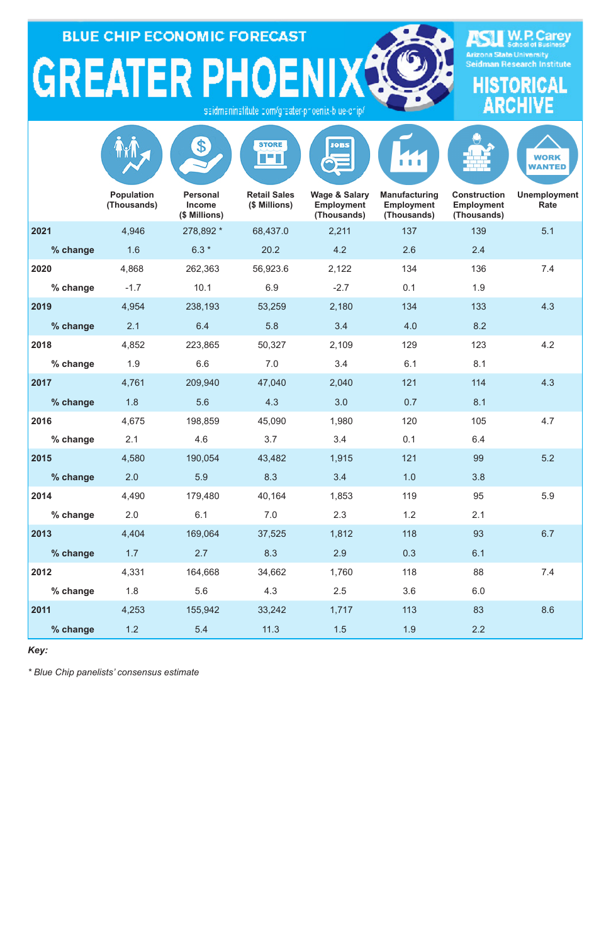**BLUE CHIP ECONOMIC FORECAST** 

**GREATER PHOENIXA** isaidmaninatitute com/graater-phoenix-blue-chip/



|          |                                  | \$                                                | <b>STORE</b><br>T E L                | <b>JOBS</b>                                                  |                                                          |                                                         | <b>WORK</b><br><b>WANTED</b> |
|----------|----------------------------------|---------------------------------------------------|--------------------------------------|--------------------------------------------------------------|----------------------------------------------------------|---------------------------------------------------------|------------------------------|
|          | <b>Population</b><br>(Thousands) | <b>Personal</b><br><b>Income</b><br>(\$ Millions) | <b>Retail Sales</b><br>(\$ Millions) | <b>Wage &amp; Salary</b><br><b>Employment</b><br>(Thousands) | <b>Manufacturing</b><br><b>Employment</b><br>(Thousands) | <b>Construction</b><br><b>Employment</b><br>(Thousands) | <b>Unemployment</b><br>Rate  |
| 2021     | 4,946                            | 278,892 *                                         | 68,437.0                             | 2,211                                                        | 137                                                      | 139                                                     | 5.1                          |
| % change | 1.6                              | $6.3*$                                            | 20.2                                 | 4.2                                                          | 2.6                                                      | 2.4                                                     |                              |
| 2020     | 4,868                            | 262,363                                           | 56,923.6                             | 2,122                                                        | 134                                                      | 136                                                     | 7.4                          |
| % change | $-1.7$                           | 10.1                                              | 6.9                                  | $-2.7$                                                       | 0.1                                                      | 1.9                                                     |                              |
| 2019     | 4,954                            | 238,193                                           | 53,259                               | 2,180                                                        | 134                                                      | 133                                                     | 4.3                          |
| % change | 2.1                              | 6.4                                               | 5.8                                  | 3.4                                                          | 4.0                                                      | 8.2                                                     |                              |
| 2018     | 4,852                            | 223,865                                           | 50,327                               | 2,109                                                        | 129                                                      | 123                                                     | 4.2                          |
| % change | 1.9                              | 6.6                                               | 7.0                                  | 3.4                                                          | 6.1                                                      | 8.1                                                     |                              |
| 2017     | 4,761                            | 209,940                                           | 47,040                               | 2,040                                                        | 121                                                      | 114                                                     | 4.3                          |
| % change | 1.8                              | 5.6                                               | 4.3                                  | 3.0                                                          | 0.7                                                      | 8.1                                                     |                              |
| 2016     | 4,675                            | 198,859                                           | 45,090                               | 1,980                                                        | 120                                                      | 105                                                     | 4.7                          |
| % change | 2.1                              | 4.6                                               | 3.7                                  | 3.4                                                          | 0.1                                                      | 6.4                                                     |                              |
| 2015     | 4,580                            | 190,054                                           | 43,482                               | 1,915                                                        | 121                                                      | 99                                                      | 5.2                          |
| % change | 2.0                              | 5.9                                               | 8.3                                  | 3.4                                                          | 1.0                                                      | 3.8                                                     |                              |
| 2014     | 4,490                            | 179,480                                           | 40,164                               | 1,853                                                        | 119                                                      | 95                                                      | 5.9                          |
| % change | 2.0                              | 6.1                                               | 7.0                                  | 2.3                                                          | $1.2$                                                    | 2.1                                                     |                              |
| 2013     | 4,404                            | 169,064                                           | 37,525                               | 1,812                                                        | 118                                                      | 93                                                      | 6.7                          |
| % change | 1.7                              | 2.7                                               | 8.3                                  | 2.9                                                          | 0.3                                                      | 6.1                                                     |                              |
| 2012     | 4,331                            | 164,668                                           | 34,662                               | 1,760                                                        | 118                                                      | 88                                                      | 7.4                          |
| % change | 1.8                              | 5.6                                               | 4.3                                  | 2.5                                                          | 3.6                                                      | 6.0                                                     |                              |
| 2011     | 4,253                            | 155,942                                           | 33,242                               | 1,717                                                        | 113                                                      | 83                                                      | 8.6                          |
| % change | $1.2$                            | 5.4                                               | 11.3                                 | 1.5                                                          | 1.9                                                      | 2.2                                                     |                              |

*Key:*

*\* Blue Chip panelists' consensus estimate*